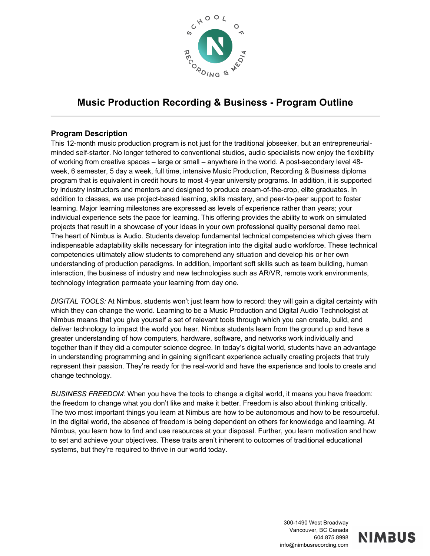

# **Music Production Recording & Business - Program Outline**

#### **Program Description**

This 12-month music production program is not just for the traditional jobseeker, but an entrepreneurialminded self-starter. No longer tethered to conventional studios, audio specialists now enjoy the flexibility of working from creative spaces – large or small – anywhere in the world. A post-secondary level 48 week, 6 semester, 5 day a week, full time, intensive Music Production, Recording & Business diploma program that is equivalent in credit hours to most 4-year university programs. In addition, it is supported by industry instructors and mentors and designed to produce cream-of-the-crop, elite graduates. In addition to classes, we use project-based learning, skills mastery, and peer-to-peer support to foster learning. Major learning milestones are expressed as levels of experience rather than years; your individual experience sets the pace for learning. This offering provides the ability to work on simulated projects that result in a showcase of your ideas in your own professional quality personal demo reel. The heart of Nimbus is Audio. Students develop fundamental technical competencies which gives them indispensable adaptability skills necessary for integration into the digital audio workforce. These technical competencies ultimately allow students to comprehend any situation and develop his or her own understanding of production paradigms. In addition, important soft skills such as team building, human interaction, the business of industry and new technologies such as AR/VR, remote work environments, technology integration permeate your learning from day one.

*DIGITAL TOOLS:* At Nimbus, students won't just learn how to record: they will gain a digital certainty with which they can change the world. Learning to be a Music Production and Digital Audio Technologist at Nimbus means that you give yourself a set of relevant tools through which you can create, build, and deliver technology to impact the world you hear. Nimbus students learn from the ground up and have a greater understanding of how computers, hardware, software, and networks work individually and together than if they did a computer science degree. In today's digital world, students have an advantage in understanding programming and in gaining significant experience actually creating projects that truly represent their passion. They're ready for the real-world and have the experience and tools to create and change technology.

*BUSINESS FREEDOM:* When you have the tools to change a digital world, it means you have freedom: the freedom to change what you don't like and make it better. Freedom is also about thinking critically. The two most important things you learn at Nimbus are how to be autonomous and how to be resourceful. In the digital world, the absence of freedom is being dependent on others for knowledge and learning. At Nimbus, you learn how to find and use resources at your disposal. Further, you learn motivation and how to set and achieve your objectives. These traits aren't inherent to outcomes of traditional educational systems, but they're required to thrive in our world today.

> 300-1490 West Broadway Vancouver, BC Canada 604.875.8998 info@nimbusrecording.com

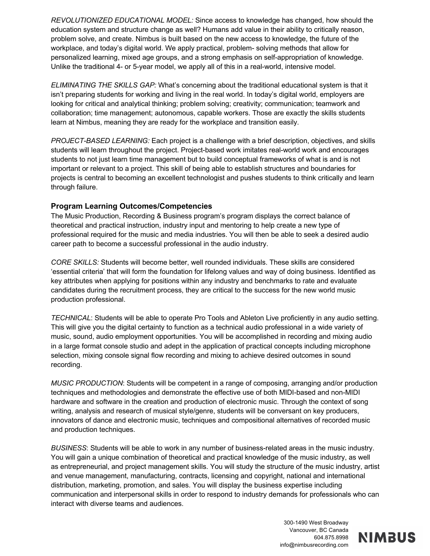*REVOLUTIONIZED EDUCATIONAL MODEL:* Since access to knowledge has changed, how should the education system and structure change as well? Humans add value in their ability to critically reason, problem solve, and create. Nimbus is built based on the new access to knowledge, the future of the workplace, and today's digital world. We apply practical, problem- solving methods that allow for personalized learning, mixed age groups, and a strong emphasis on self-appropriation of knowledge. Unlike the traditional 4- or 5-year model, we apply all of this in a real-world, intensive model.

*ELIMINATING THE SKILLS GAP:* What's concerning about the traditional educational system is that it isn't preparing students for working and living in the real world. In today's digital world, employers are looking for critical and analytical thinking; problem solving; creativity; communication; teamwork and collaboration; time management; autonomous, capable workers. Those are exactly the skills students learn at Nimbus, meaning they are ready for the workplace and transition easily.

*PROJECT-BASED LEARNING:* Each project is a challenge with a brief description, objectives, and skills students will learn throughout the project. Project-based work imitates real-world work and encourages students to not just learn time management but to build conceptual frameworks of what is and is not important or relevant to a project. This skill of being able to establish structures and boundaries for projects is central to becoming an excellent technologist and pushes students to think critically and learn through failure.

#### **Program Learning Outcomes/Competencies**

The Music Production, Recording & Business program's program displays the correct balance of theoretical and practical instruction, industry input and mentoring to help create a new type of professional required for the music and media industries. You will then be able to seek a desired audio career path to become a successful professional in the audio industry.

*CORE SKILLS:* Students will become better, well rounded individuals. These skills are considered 'essential criteria' that will form the foundation for lifelong values and way of doing business. Identified as key attributes when applying for positions within any industry and benchmarks to rate and evaluate candidates during the recruitment process, they are critical to the success for the new world music production professional.

*TECHNICAL*: Students will be able to operate Pro Tools and Ableton Live proficiently in any audio setting. This will give you the digital certainty to function as a technical audio professional in a wide variety of music, sound, audio employment opportunities. You will be accomplished in recording and mixing audio in a large format console studio and adept in the application of practical concepts including microphone selection, mixing console signal flow recording and mixing to achieve desired outcomes in sound recording.

*MUSIC PRODUCTION*: Students will be competent in a range of composing, arranging and/or production techniques and methodologies and demonstrate the effective use of both MIDI-based and non-MIDI hardware and software in the creation and production of electronic music. Through the context of song writing, analysis and research of musical style/genre, students will be conversant on key producers, innovators of dance and electronic music, techniques and compositional alternatives of recorded music and production techniques.

*BUSINESS*: Students will be able to work in any number of business-related areas in the music industry. You will gain a unique combination of theoretical and practical knowledge of the music industry, as well as entrepreneurial, and project management skills. You will study the structure of the music industry, artist and venue management, manufacturing, contracts, licensing and copyright, national and international distribution, marketing, promotion, and sales. You will display the business expertise including communication and interpersonal skills in order to respond to industry demands for professionals who can interact with diverse teams and audiences.

> 300-1490 West Broadway Vancouver, BC Canada 604.875.8998 info@nimbusrecording.com

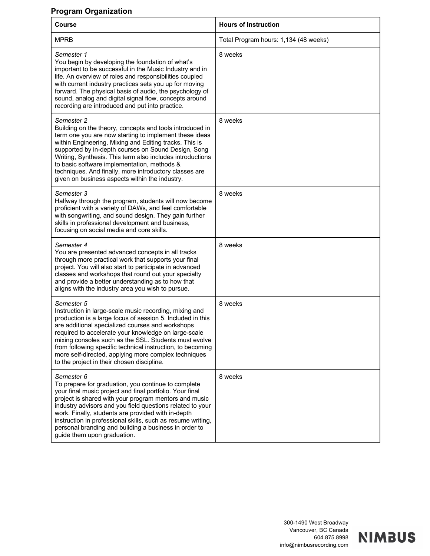#### **Program Organization**

| Course                                                                                                                                                                                                                                                                                                                                                                                                                                                                      | <b>Hours of Instruction</b>           |
|-----------------------------------------------------------------------------------------------------------------------------------------------------------------------------------------------------------------------------------------------------------------------------------------------------------------------------------------------------------------------------------------------------------------------------------------------------------------------------|---------------------------------------|
| <b>MPRB</b>                                                                                                                                                                                                                                                                                                                                                                                                                                                                 | Total Program hours: 1,134 (48 weeks) |
| Semester 1<br>You begin by developing the foundation of what's<br>important to be successful in the Music Industry and in<br>life. An overview of roles and responsibilities coupled<br>with current industry practices sets you up for moving<br>forward. The physical basis of audio, the psychology of<br>sound, analog and digital signal flow, concepts around<br>recording are introduced and put into practice.                                                      | 8 weeks                               |
| Semester 2<br>Building on the theory, concepts and tools introduced in<br>term one you are now starting to implement these ideas<br>within Engineering, Mixing and Editing tracks. This is<br>supported by in-depth courses on Sound Design, Song<br>Writing, Synthesis. This term also includes introductions<br>to basic software implementation, methods &<br>techniques. And finally, more introductory classes are<br>given on business aspects within the industry.   | 8 weeks                               |
| Semester 3<br>Halfway through the program, students will now become<br>proficient with a variety of DAWs, and feel comfortable<br>with songwriting, and sound design. They gain further<br>skills in professional development and business,<br>focusing on social media and core skills.                                                                                                                                                                                    | 8 weeks                               |
| Semester 4<br>You are presented advanced concepts in all tracks<br>through more practical work that supports your final<br>project. You will also start to participate in advanced<br>classes and workshops that round out your specialty<br>and provide a better understanding as to how that<br>aligns with the industry area you wish to pursue.                                                                                                                         | 8 weeks                               |
| Semester 5<br>Instruction in large-scale music recording, mixing and<br>production is a large focus of session 5. Included in this<br>are additional specialized courses and workshops<br>required to accelerate your knowledge on large-scale<br>mixing consoles such as the SSL. Students must evolve<br>from following specific technical instruction, to becoming<br>more self-directed, applying more complex techniques<br>to the project in their chosen discipline. | 8 weeks                               |
| Semester 6<br>To prepare for graduation, you continue to complete<br>your final music project and final portfolio. Your final<br>project is shared with your program mentors and music<br>industry advisors and you field questions related to your<br>work. Finally, students are provided with in-depth<br>instruction in professional skills, such as resume writing,<br>personal branding and building a business in order to<br>guide them upon graduation.            | 8 weeks                               |